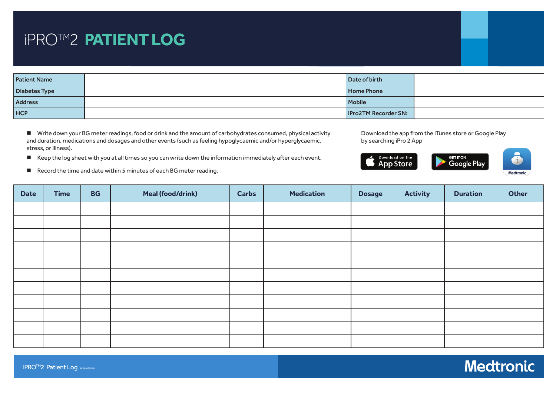| <b>Patient Name</b> | Date of birth               |  |  |
|---------------------|-----------------------------|--|--|
| Diabetes Type       | <b>Home Phone</b>           |  |  |
| <b>Address</b>      | <b>Mobile</b>               |  |  |
| <b>HCP</b>          | <b>iPro2TM Recorder SN:</b> |  |  |

■ Write down your BG meter readings, food or drink and the amount of carbohydrates consumed, physical activity<br>and duration, modications and desages and other overts (such as feeling bynoglycagmic and/or bynoglycagmic and duration, medications and dosages and other events (such as feeling hypoglycaemic and/or hyperglycaemic, by searchin<br>stress, or illness). stress, or illness).

occoo, or imicoo).<br>■ Keep the log sheet with you at all times so you can write down the information immediately after each □ Yes → No. 2010<br>□ No. 2010 ■ Keep the log sheet with you at all times so you can write down the information immediately after each event.<br>■ 2. **DOWNLOAD** the app from its app from its app from its app from its app from its app from its app from its

■ Record the time and date within 5 minutes of each BG meter reading.

Download the app from the iTunes store or Google Play by searching iPro 2 App

end time and date

Record your insulin type,



| <b>Date</b> | <b>Time</b> | <b>BG</b> | <b>Meal (food/drink)</b> | <b>Carbs</b> | <b>Medication</b> | <b>Dosage</b> | <b>Activity</b> | <b>Duration</b> | Other |
|-------------|-------------|-----------|--------------------------|--------------|-------------------|---------------|-----------------|-----------------|-------|
|             |             |           |                          |              |                   |               |                 |                 |       |
|             |             |           |                          |              |                   |               |                 |                 |       |
|             |             |           |                          |              |                   |               |                 |                 |       |
|             |             |           |                          |              |                   |               |                 |                 |       |
|             |             |           |                          |              |                   |               |                 |                 |       |
|             |             |           |                          |              |                   |               |                 |                 |       |
|             |             |           |                          |              |                   |               |                 |                 |       |
|             |             |           |                          |              |                   |               |                 |                 |       |
|             |             |           |                          |              |                   |               |                 |                 |       |
|             |             |           |                          |              |                   |               |                 |                 |       |
|             |             |           |                          |              |                   |               |                 |                 |       |
|             |             |           |                          |              |                   |               |                 |                 |       |

*Patient has verbalised and demonstrated the following:*

□ Importance of applying overtape □

medications, time and date

Record physical activity

Steps for applying overtape correctly

Record meal size, time and

time and date